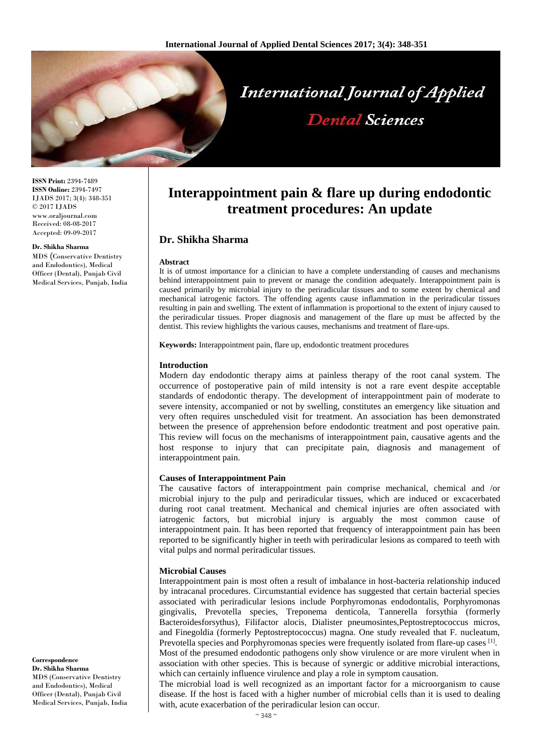

**ISSN Print:** 2394-7489 **ISSN Online:** 2394-7497 IJADS 2017; 3(4): 348-351 © 2017 IJADS www.oraljournal.com Received: 08-08-2017 Accepted: 09-09-2017

#### **Dr. Shikha Sharma**

MDS (Conservative Dentistry and Endodontics), Medical Officer (Dental), Punjab Civil Medical Services, Punjab, India

**Correspondence Dr. Shikha Sharma** MDS (Conservative Dentistry and Endodontics), Medical Officer (Dental), Punjab Civil Medical Services, Punjab, India

# **Interappointment pain & flare up during endodontic treatment procedures: An update**

# **Dr. Shikha Sharma**

#### **Abstract**

It is of utmost importance for a clinician to have a complete understanding of causes and mechanisms behind interappointment pain to prevent or manage the condition adequately. Interappointment pain is caused primarily by microbial injury to the periradicular tissues and to some extent by chemical and mechanical iatrogenic factors. The offending agents cause inflammation in the periradicular tissues resulting in pain and swelling. The extent of inflammation is proportional to the extent of injury caused to the periradicular tissues. Proper diagnosis and management of the flare up must be affected by the dentist. This review highlights the various causes, mechanisms and treatment of flare-ups.

**Keywords:** Interappointment pain, flare up, endodontic treatment procedures

#### **Introduction**

Modern day endodontic therapy aims at painless therapy of the root canal system. The occurrence of postoperative pain of mild intensity is not a rare event despite acceptable standards of endodontic therapy. The development of interappointment pain of moderate to severe intensity, accompanied or not by swelling, constitutes an emergency like situation and very often requires unscheduled visit for treatment. An association has been demonstrated between the presence of apprehension before endodontic treatment and post operative pain. This review will focus on the mechanisms of interappointment pain, causative agents and the host response to injury that can precipitate pain, diagnosis and management of interappointment pain.

### **Causes of Interappointment Pain**

The causative factors of interappointment pain comprise mechanical, chemical and /or microbial injury to the pulp and periradicular tissues, which are induced or excacerbated during root canal treatment. Mechanical and chemical injuries are often associated with iatrogenic factors, but microbial injury is arguably the most common cause of interappointment pain. It has been reported that frequency of interappointment pain has been reported to be significantly higher in teeth with periradicular lesions as compared to teeth with vital pulps and normal periradicular tissues.

### **Microbial Causes**

Interappointment pain is most often a result of imbalance in host-bacteria relationship induced by intracanal procedures. Circumstantial evidence has suggested that certain bacterial species associated with periradicular lesions include Porphyromonas endodontalis, Porphyromonas gingivalis, Prevotella species, Treponema denticola, Tannerella forsythia (formerly Bacteroidesforsythus), Filifactor alocis, Dialister pneumosintes,Peptostreptococcus micros, and Finegoldia (formerly Peptostreptococcus) magna. One study revealed that F. nucleatum, Prevotella species and Porphyromonas species were frequently isolated from flare-up cases [1]. Most of the presumed endodontic pathogens only show virulence or are more virulent when in association with other species. This is because of synergic or additive microbial interactions, which can certainly influence virulence and play a role in symptom causation.

The microbial load is well recognized as an important factor for a microorganism to cause disease. If the host is faced with a higher number of microbial cells than it is used to dealing with, acute exacerbation of the periradicular lesion can occur.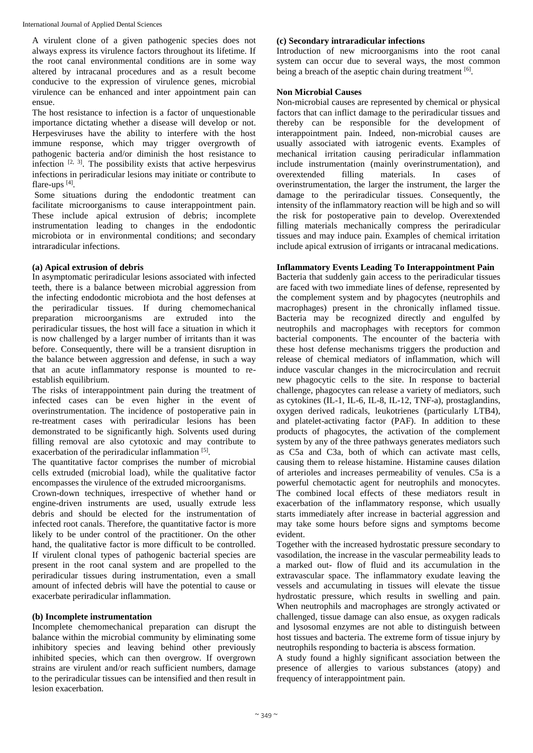A virulent clone of a given pathogenic species does not always express its virulence factors throughout its lifetime. If the root canal environmental conditions are in some way altered by intracanal procedures and as a result become conducive to the expression of virulence genes, microbial virulence can be enhanced and inter appointment pain can ensue.

The host resistance to infection is a factor of unquestionable importance dictating whether a disease will develop or not. Herpesviruses have the ability to interfere with the host immune response, which may trigger overgrowth of pathogenic bacteria and/or diminish the host resistance to infection  $[2, 3]$ . The possibility exists that active herpesvirus infections in periradicular lesions may initiate or contribute to flare-ups<sup>[4]</sup>.

Some situations during the endodontic treatment can facilitate microorganisms to cause interappointment pain. These include apical extrusion of debris; incomplete instrumentation leading to changes in the endodontic microbiota or in environmental conditions; and secondary intraradicular infections.

## **(a) Apical extrusion of debris**

In asymptomatic periradicular lesions associated with infected teeth, there is a balance between microbial aggression from the infecting endodontic microbiota and the host defenses at the periradicular tissues. If during chemomechanical preparation microorganisms are extruded into the periradicular tissues, the host will face a situation in which it is now challenged by a larger number of irritants than it was before. Consequently, there will be a transient disruption in the balance between aggression and defense, in such a way that an acute inflammatory response is mounted to reestablish equilibrium.

The risks of interappointment pain during the treatment of infected cases can be even higher in the event of overinstrumentation. The incidence of postoperative pain in re-treatment cases with periradicular lesions has been demonstrated to be significantly high. Solvents used during filling removal are also cytotoxic and may contribute to exacerbation of the periradicular inflammation [5].

The quantitative factor comprises the number of microbial cells extruded (microbial load), while the qualitative factor encompasses the virulence of the extruded microorganisms.

Crown-down techniques, irrespective of whether hand or engine-driven instruments are used, usually extrude less debris and should be elected for the instrumentation of infected root canals. Therefore, the quantitative factor is more likely to be under control of the practitioner. On the other hand, the qualitative factor is more difficult to be controlled. If virulent clonal types of pathogenic bacterial species are present in the root canal system and are propelled to the periradicular tissues during instrumentation, even a small amount of infected debris will have the potential to cause or exacerbate periradicular inflammation.

### **(b) Incomplete instrumentation**

Incomplete chemomechanical preparation can disrupt the balance within the microbial community by eliminating some inhibitory species and leaving behind other previously inhibited species, which can then overgrow. If overgrown strains are virulent and/or reach sufficient numbers, damage to the periradicular tissues can be intensified and then result in lesion exacerbation.

### **(c) Secondary intraradicular infections**

Introduction of new microorganisms into the root canal system can occur due to several ways, the most common being a breach of the aseptic chain during treatment [6].

### **Non Microbial Causes**

Non-microbial causes are represented by chemical or physical factors that can inflict damage to the periradicular tissues and thereby can be responsible for the development of interappointment pain. Indeed, non-microbial causes are usually associated with iatrogenic events. Examples of mechanical irritation causing periradicular inflammation include instrumentation (mainly overinstrumentation), and overextended filling materials. In cases of overinstrumentation, the larger the instrument, the larger the damage to the periradicular tissues. Consequently, the intensity of the inflammatory reaction will be high and so will the risk for postoperative pain to develop. Overextended filling materials mechanically compress the periradicular tissues and may induce pain. Examples of chemical irritation include apical extrusion of irrigants or intracanal medications.

## **Inflammatory Events Leading To Interappointment Pain**

Bacteria that suddenly gain access to the periradicular tissues are faced with two immediate lines of defense, represented by the complement system and by phagocytes (neutrophils and macrophages) present in the chronically inflamed tissue. Bacteria may be recognized directly and engulfed by neutrophils and macrophages with receptors for common bacterial components. The encounter of the bacteria with these host defense mechanisms triggers the production and release of chemical mediators of inflammation, which will induce vascular changes in the microcirculation and recruit new phagocytic cells to the site. In response to bacterial challenge, phagocytes can release a variety of mediators, such as cytokines (IL-1, IL-6, IL-8, IL-12, TNF-a), prostaglandins, oxygen derived radicals, leukotrienes (particularly LTB4), and platelet-activating factor (PAF). In addition to these products of phagocytes, the activation of the complement system by any of the three pathways generates mediators such as C5a and C3a, both of which can activate mast cells, causing them to release histamine. Histamine causes dilation of arterioles and increases permeability of venules. C5a is a powerful chemotactic agent for neutrophils and monocytes. The combined local effects of these mediators result in exacerbation of the inflammatory response, which usually starts immediately after increase in bacterial aggression and may take some hours before signs and symptoms become evident.

Together with the increased hydrostatic pressure secondary to vasodilation, the increase in the vascular permeability leads to a marked out- flow of fluid and its accumulation in the extravascular space. The inflammatory exudate leaving the vessels and accumulating in tissues will elevate the tissue hydrostatic pressure, which results in swelling and pain. When neutrophils and macrophages are strongly activated or challenged, tissue damage can also ensue, as oxygen radicals and lysosomal enzymes are not able to distinguish between host tissues and bacteria. The extreme form of tissue injury by neutrophils responding to bacteria is abscess formation.

A study found a highly significant association between the presence of allergies to various substances (atopy) and frequency of interappointment pain.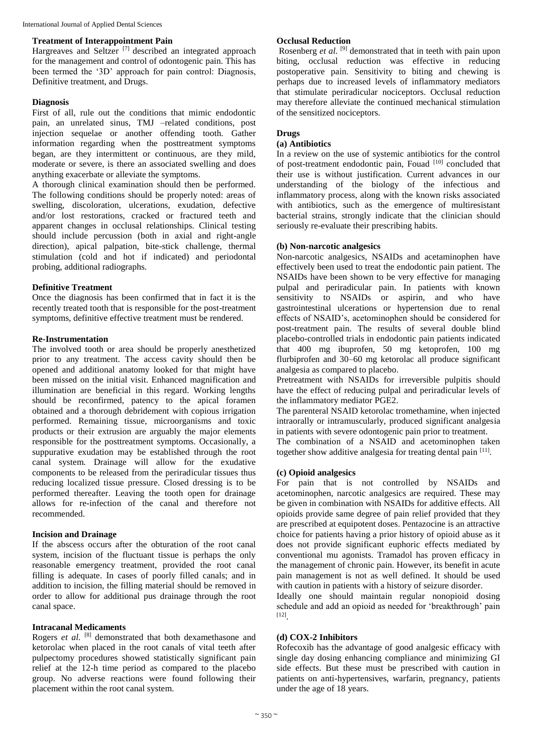### **Treatment of Interappointment Pain**

Hargreaves and Seltzer<sup>[7]</sup> described an integrated approach for the management and control of odontogenic pain. This has been termed the '3D' approach for pain control: Diagnosis, Definitive treatment, and Drugs.

# **Diagnosis**

First of all, rule out the conditions that mimic endodontic pain, an unrelated sinus, TMJ –related conditions, post injection sequelae or another offending tooth. Gather information regarding when the posttreatment symptoms began, are they intermittent or continuous, are they mild, moderate or severe, is there an associated swelling and does anything exacerbate or alleviate the symptoms.

A thorough clinical examination should then be performed. The following conditions should be properly noted: areas of swelling, discoloration, ulcerations, exudation, defective and/or lost restorations, cracked or fractured teeth and apparent changes in occlusal relationships. Clinical testing should include percussion (both in axial and right-angle direction), apical palpation, bite-stick challenge, thermal stimulation (cold and hot if indicated) and periodontal probing, additional radiographs.

# **Definitive Treatment**

Once the diagnosis has been confirmed that in fact it is the recently treated tooth that is responsible for the post-treatment symptoms, definitive effective treatment must be rendered.

### **Re-Instrumentation**

The involved tooth or area should be properly anesthetized prior to any treatment. The access cavity should then be opened and additional anatomy looked for that might have been missed on the initial visit. Enhanced magnification and illumination are beneficial in this regard. Working lengths should be reconfirmed, patency to the apical foramen obtained and a thorough debridement with copious irrigation performed. Remaining tissue, microorganisms and toxic products or their extrusion are arguably the major elements responsible for the posttreatment symptoms. Occasionally, a suppurative exudation may be established through the root canal system. Drainage will allow for the exudative components to be released from the periradicular tissues thus reducing localized tissue pressure. Closed dressing is to be performed thereafter. Leaving the tooth open for drainage allows for re-infection of the canal and therefore not recommended.

### **Incision and Drainage**

If the abscess occurs after the obturation of the root canal system, incision of the fluctuant tissue is perhaps the only reasonable emergency treatment, provided the root canal filling is adequate. In cases of poorly filled canals; and in addition to incision, the filling material should be removed in order to allow for additional pus drainage through the root canal space.

### **Intracanal Medicaments**

Rogers *et al.* [8] demonstrated that both dexamethasone and ketorolac when placed in the root canals of vital teeth after pulpectomy procedures showed statistically significant pain relief at the 12-h time period as compared to the placebo group. No adverse reactions were found following their placement within the root canal system.

### **Occlusal Reduction**

Rosenberg *et al.* <sup>[9]</sup> demonstrated that in teeth with pain upon biting, occlusal reduction was effective in reducing postoperative pain. Sensitivity to biting and chewing is perhaps due to increased levels of inflammatory mediators that stimulate periradicular nociceptors. Occlusal reduction may therefore alleviate the continued mechanical stimulation of the sensitized nociceptors.

### **Drugs**

### **(a) Antibiotics**

In a review on the use of systemic antibiotics for the control of post-treatment endodontic pain, Fouad [10] concluded that their use is without justification. Current advances in our understanding of the biology of the infectious and inflammatory process, along with the known risks associated with antibiotics, such as the emergence of multiresistant bacterial strains, strongly indicate that the clinician should seriously re-evaluate their prescribing habits.

### **(b) Non-narcotic analgesics**

Non-narcotic analgesics, NSAIDs and acetaminophen have effectively been used to treat the endodontic pain patient. The NSAIDs have been shown to be very effective for managing pulpal and periradicular pain. In patients with known sensitivity to NSAIDs or aspirin, and who have gastrointestinal ulcerations or hypertension due to renal effects of NSAID's, acetominophen should be considered for post-treatment pain. The results of several double blind placebo-controlled trials in endodontic pain patients indicated that 400 mg ibuprofen, 50 mg ketoprofen, 100 mg flurbiprofen and 30–60 mg ketorolac all produce significant analgesia as compared to placebo.

Pretreatment with NSAIDs for irreversible pulpitis should have the effect of reducing pulpal and periradicular levels of the inflammatory mediator PGE2.

The parenteral NSAID ketorolac tromethamine, when injected intraorally or intramuscularly, produced significant analgesia in patients with severe odontogenic pain prior to treatment. The combination of a NSAID and acetominophen taken

together show additive analgesia for treating dental pain [11].

### **(c) Opioid analgesics**

For pain that is not controlled by NSAIDs and acetominophen, narcotic analgesics are required. These may be given in combination with NSAIDs for additive effects. All opioids provide same degree of pain relief provided that they are prescribed at equipotent doses. Pentazocine is an attractive choice for patients having a prior history of opioid abuse as it does not provide significant euphoric effects mediated by conventional mu agonists. Tramadol has proven efficacy in the management of chronic pain. However, its benefit in acute pain management is not as well defined. It should be used with caution in patients with a history of seizure disorder.

Ideally one should maintain regular nonopioid dosing schedule and add an opioid as needed for 'breakthrough' pain [12] .

### **(d) COX-2 Inhibitors**

Rofecoxib has the advantage of good analgesic efficacy with single day dosing enhancing compliance and minimizing GI side effects. But these must be prescribed with caution in patients on anti-hypertensives, warfarin, pregnancy, patients under the age of 18 years.